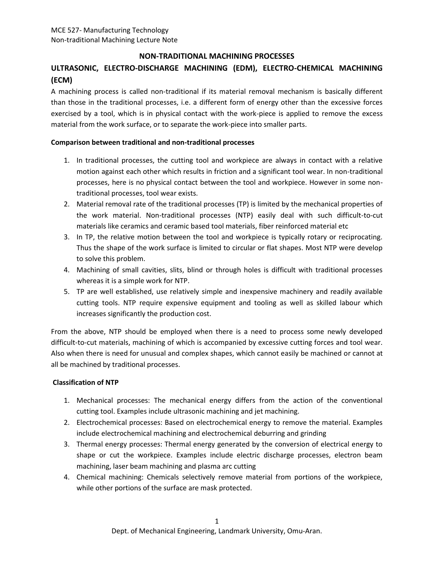# **NON-TRADITIONAL MACHINING PROCESSES**

# **ULTRASONIC, ELECTRO-DISCHARGE MACHINING (EDM), ELECTRO-CHEMICAL MACHINING (ECM)**

A machining process is called non-traditional if its material removal mechanism is basically different than those in the traditional processes, i.e. a different form of energy other than the excessive forces exercised by a tool, which is in physical contact with the work-piece is applied to remove the excess material from the work surface, or to separate the work-piece into smaller parts.

### **Comparison between traditional and non-traditional processes**

- 1. In traditional processes, the cutting tool and workpiece are always in contact with a relative motion against each other which results in friction and a significant tool wear. In non-traditional processes, here is no physical contact between the tool and workpiece. However in some nontraditional processes, tool wear exists.
- 2. Material removal rate of the traditional processes (TP) is limited by the mechanical properties of the work material. Non-traditional processes (NTP) easily deal with such difficult-to-cut materials like ceramics and ceramic based tool materials, fiber reinforced material etc
- 3. In TP, the relative motion between the tool and workpiece is typically rotary or reciprocating. Thus the shape of the work surface is limited to circular or flat shapes. Most NTP were develop to solve this problem.
- 4. Machining of small cavities, slits, blind or through holes is difficult with traditional processes whereas it is a simple work for NTP.
- 5. TP are well established, use relatively simple and inexpensive machinery and readily available cutting tools. NTP require expensive equipment and tooling as well as skilled labour which increases significantly the production cost.

From the above, NTP should be employed when there is a need to process some newly developed difficult-to-cut materials, machining of which is accompanied by excessive cutting forces and tool wear. Also when there is need for unusual and complex shapes, which cannot easily be machined or cannot at all be machined by traditional processes.

## **Classification of NTP**

- 1. Mechanical processes: The mechanical energy differs from the action of the conventional cutting tool. Examples include ultrasonic machining and jet machining.
- 2. Electrochemical processes: Based on electrochemical energy to remove the material. Examples include electrochemical machining and electrochemical deburring and grinding
- 3. Thermal energy processes: Thermal energy generated by the conversion of electrical energy to shape or cut the workpiece. Examples include electric discharge processes, electron beam machining, laser beam machining and plasma arc cutting
- 4. Chemical machining: Chemicals selectively remove material from portions of the workpiece, while other portions of the surface are mask protected.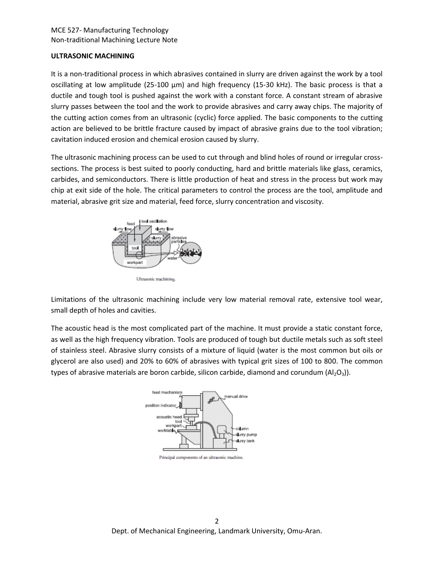# MCE 527- Manufacturing Technology Non-traditional Machining Lecture Note

### **ULTRASONIC MACHINING**

It is a non-traditional process in which abrasives contained in slurry are driven against the work by a tool oscillating at low amplitude (25-100 μm) and high frequency (15-30 kHz). The basic process is that a ductile and tough tool is pushed against the work with a constant force. A constant stream of abrasive slurry passes between the tool and the work to provide abrasives and carry away chips. The majority of the cutting action comes from an ultrasonic (cyclic) force applied. The basic components to the cutting action are believed to be brittle fracture caused by impact of abrasive grains due to the tool vibration; cavitation induced erosion and chemical erosion caused by slurry.

The ultrasonic machining process can be used to cut through and blind holes of round or irregular crosssections. The process is best suited to poorly conducting, hard and brittle materials like glass, ceramics, carbides, and semiconductors. There is little production of heat and stress in the process but work may chip at exit side of the hole. The critical parameters to control the process are the tool, amplitude and material, abrasive grit size and material, feed force, slurry concentration and viscosity.



Ultrasonic machining.

Limitations of the ultrasonic machining include very low material removal rate, extensive tool wear, small depth of holes and cavities.

The acoustic head is the most complicated part of the machine. It must provide a static constant force, as well as the high frequency vibration. Tools are produced of tough but ductile metals such as soft steel of stainless steel. Abrasive slurry consists of a mixture of liquid (water is the most common but oils or glycerol are also used) and 20% to 60% of abrasives with typical grit sizes of 100 to 800. The common types of abrasive materials are boron carbide, silicon carbide, diamond and corundum  $(A|_2O_3)$ ).



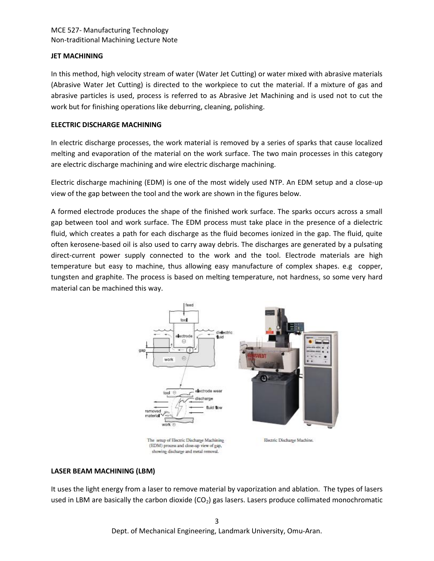# MCE 527- Manufacturing Technology Non-traditional Machining Lecture Note

# **JET MACHINING**

In this method, high velocity stream of water (Water Jet Cutting) or water mixed with abrasive materials (Abrasive Water Jet Cutting) is directed to the workpiece to cut the material. If a mixture of gas and abrasive particles is used, process is referred to as Abrasive Jet Machining and is used not to cut the work but for finishing operations like deburring, cleaning, polishing.

# **ELECTRIC DISCHARGE MACHINING**

In electric discharge processes, the work material is removed by a series of sparks that cause localized melting and evaporation of the material on the work surface. The two main processes in this category are electric discharge machining and wire electric discharge machining.

Electric discharge machining (EDM) is one of the most widely used NTP. An EDM setup and a close-up view of the gap between the tool and the work are shown in the figures below.

A formed electrode produces the shape of the finished work surface. The sparks occurs across a small gap between tool and work surface. The EDM process must take place in the presence of a dielectric fluid, which creates a path for each discharge as the fluid becomes ionized in the gap. The fluid, quite often kerosene-based oil is also used to carry away debris. The discharges are generated by a pulsating direct-current power supply connected to the work and the tool. Electrode materials are high temperature but easy to machine, thus allowing easy manufacture of complex shapes. e.g copper, tungsten and graphite. The process is based on melting temperature, not hardness, so some very hard material can be machined this way.



showing discharge and metal removal.

## **LASER BEAM MACHINING (LBM)**

It uses the light energy from a laser to remove material by vaporization and ablation. The types of lasers used in LBM are basically the carbon dioxide  $(CO<sub>2</sub>)$  gas lasers. Lasers produce collimated monochromatic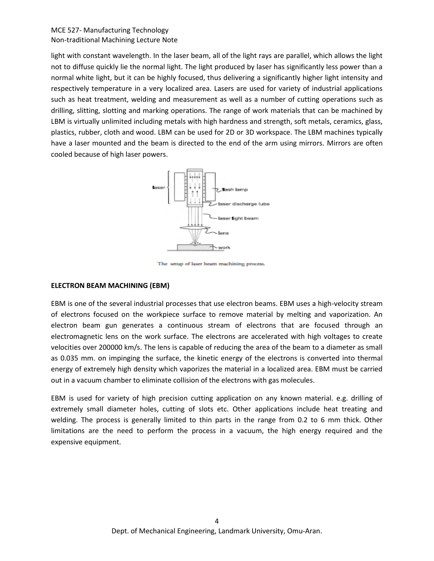## MCE 527- Manufacturing Technology Non-traditional Machining Lecture Note

light with constant wavelength. In the laser beam, all of the light rays are parallel, which allows the light not to diffuse quickly lie the normal light. The light produced by laser has significantly less power than a normal white light, but it can be highly focused, thus delivering a significantly higher light intensity and respectively temperature in a very localized area. Lasers are used for variety of industrial applications such as heat treatment, welding and measurement as well as a number of cutting operations such as drilling, slitting, slotting and marking operations. The range of work materials that can be machined by LBM is virtually unlimited including metals with high hardness and strength, soft metals, ceramics, glass, plastics, rubber, cloth and wood. LBM can be used for 2D or 3D workspace. The LBM machines typically have a laser mounted and the beam is directed to the end of the arm using mirrors. Mirrors are often cooled because of high laser powers.



The setup of laser beam machining process.

#### **ELECTRON BEAM MACHINING (EBM)**

EBM is one of the several industrial processes that use electron beams. EBM uses a high-velocity stream of electrons focused on the workpiece surface to remove material by melting and vaporization. An electron beam gun generates a continuous stream of electrons that are focused through an electromagnetic lens on the work surface. The electrons are accelerated with high voltages to create velocities over 200000 km/s. The lens is capable of reducing the area of the beam to a diameter as small as 0.035 mm. on impinging the surface, the kinetic energy of the electrons is converted into thermal energy of extremely high density which vaporizes the material in a localized area. EBM must be carried out in a vacuum chamber to eliminate collision of the electrons with gas molecules.

EBM is used for variety of high precision cutting application on any known material. e.g. drilling of extremely small diameter holes, cutting of slots etc. Other applications include heat treating and welding. The process is generally limited to thin parts in the range from 0.2 to 6 mm thick. Other limitations are the need to perform the process in a vacuum, the high energy required and the expensive equipment.